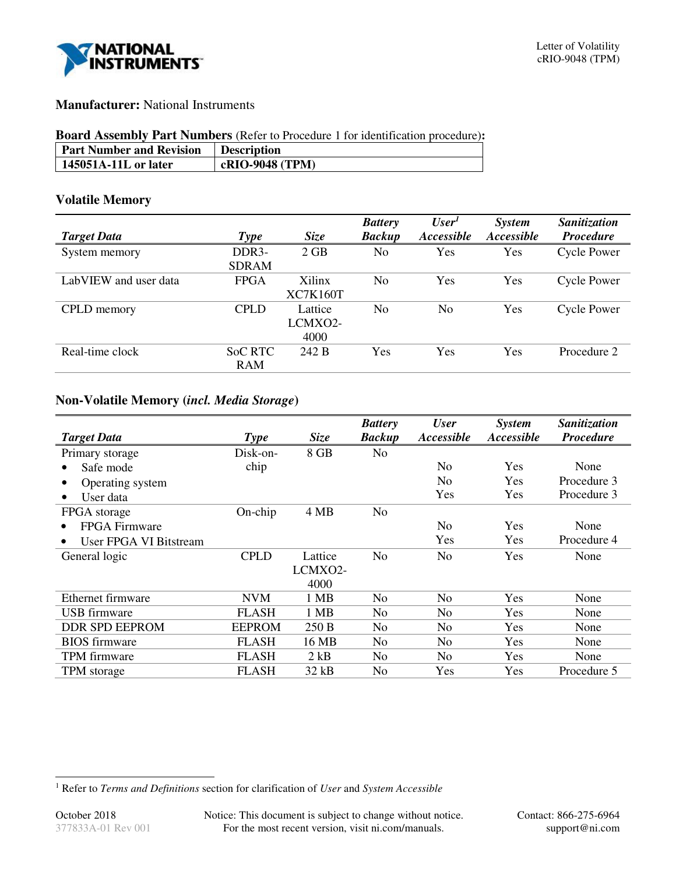

# **Manufacturer:** National Instruments

# **Board Assembly Part Numbers** (Refer to Procedure 1 for identification procedure)**:**

| <b>Part Number and Revision</b> | <b>Description</b>     |
|---------------------------------|------------------------|
| 145051A-11L or later            | <b>cRIO-9048 (TPM)</b> |

# **Volatile Memory**

|                       |                |                 | <b>Battery</b> | User <sup>1</sup> | <b>System</b>     | <b>Sanitization</b> |
|-----------------------|----------------|-----------------|----------------|-------------------|-------------------|---------------------|
| <b>Target Data</b>    | <b>Type</b>    | <b>Size</b>     | <b>Backup</b>  | Accessible        | <i>Accessible</i> | <b>Procedure</b>    |
| System memory         | DDR3-          | 2 GB            | No             | Yes               | Yes               | <b>Cycle Power</b>  |
|                       | <b>SDRAM</b>   |                 |                |                   |                   |                     |
| LabVIEW and user data | <b>FPGA</b>    | Xilinx          | No             | Yes               | Yes               | <b>Cycle Power</b>  |
|                       |                | <b>XC7K160T</b> |                |                   |                   |                     |
| CPLD memory           | <b>CPLD</b>    | Lattice         | No             | N <sub>0</sub>    | Yes               | <b>Cycle Power</b>  |
|                       |                | LCMXO2-         |                |                   |                   |                     |
|                       |                | 4000            |                |                   |                   |                     |
| Real-time clock       | <b>SoC RTC</b> | 242 B           | <b>Yes</b>     | Yes               | Yes               | Procedure 2         |
|                       | <b>RAM</b>     |                 |                |                   |                   |                     |

# **Non-Volatile Memory (***incl. Media Storage***)**

|                        |               |             | <b>Battery</b> | <b>User</b>    | <b>System</b>     | Sanitization     |
|------------------------|---------------|-------------|----------------|----------------|-------------------|------------------|
| <b>Target Data</b>     | <b>Type</b>   | <b>Size</b> | <b>Backup</b>  | Accessible     | <b>Accessible</b> | <b>Procedure</b> |
| Primary storage        | Disk-on-      | 8 GB        | N <sub>0</sub> |                |                   |                  |
| Safe mode              | chip          |             |                | N <sub>0</sub> | Yes               | None             |
| Operating system       |               |             |                | N <sub>0</sub> | <b>Yes</b>        | Procedure 3      |
| User data              |               |             |                | Yes            | Yes               | Procedure 3      |
| FPGA storage           | On-chip       | 4 MB        | N <sub>o</sub> |                |                   |                  |
| <b>FPGA Firmware</b>   |               |             |                | N <sub>0</sub> | Yes               | None             |
| User FPGA VI Bitstream |               |             |                | Yes            | Yes               | Procedure 4      |
| General logic          | <b>CPLD</b>   | Lattice     | N <sub>o</sub> | N <sub>o</sub> | Yes               | None             |
|                        |               | LCMXO2-     |                |                |                   |                  |
|                        |               | 4000        |                |                |                   |                  |
| Ethernet firmware      | <b>NVM</b>    | 1 MB        | N <sub>0</sub> | N <sub>0</sub> | Yes               | None             |
| <b>USB</b> firmware    | <b>FLASH</b>  | 1 MB        | N <sub>o</sub> | N <sub>0</sub> | Yes               | None             |
| <b>DDR SPD EEPROM</b>  | <b>EEPROM</b> | 250 B       | N <sub>0</sub> | N <sub>0</sub> | Yes               | None             |
| <b>BIOS</b> firmware   | <b>FLASH</b>  | 16 MB       | N <sub>0</sub> | N <sub>0</sub> | Yes               | None             |
| TPM firmware           | <b>FLASH</b>  | $2$ kB      | N <sub>0</sub> | N <sub>0</sub> | Yes               | None             |
| TPM storage            | <b>FLASH</b>  | 32 kB       | No             | Yes            | Yes               | Procedure 5      |

j

<sup>1</sup> Refer to *Terms and Definitions* section for clarification of *User* and *System Accessible*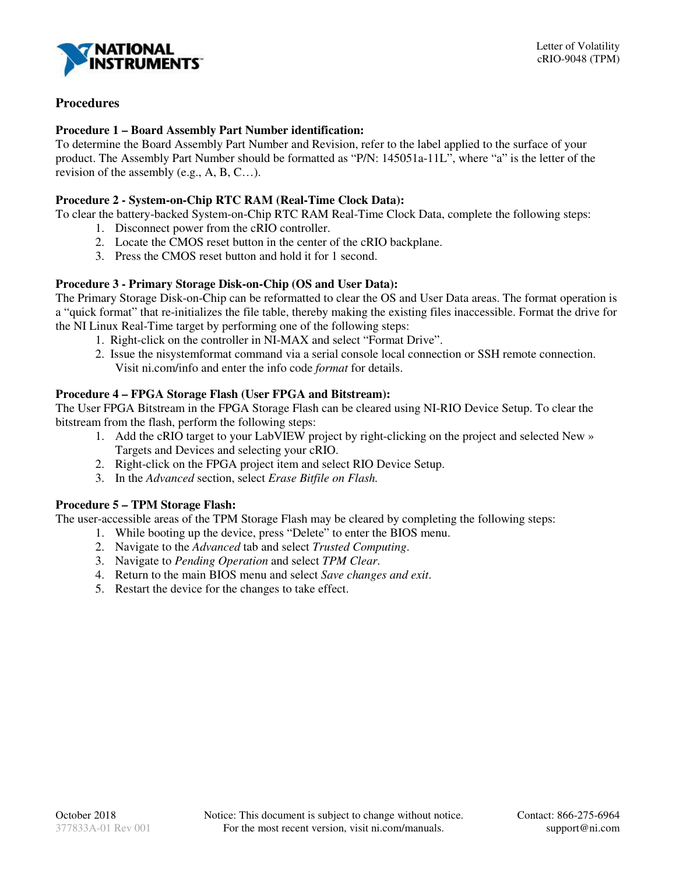

# **Procedures**

# **Procedure 1 – Board Assembly Part Number identification:**

To determine the Board Assembly Part Number and Revision, refer to the label applied to the surface of your product. The Assembly Part Number should be formatted as "P/N: 145051a-11L", where "a" is the letter of the revision of the assembly (e.g., A, B, C…).

# **Procedure 2 - System-on-Chip RTC RAM (Real-Time Clock Data):**

To clear the battery-backed System-on-Chip RTC RAM Real-Time Clock Data, complete the following steps:

- 1. Disconnect power from the cRIO controller.
- 2. Locate the CMOS reset button in the center of the cRIO backplane.
- 3. Press the CMOS reset button and hold it for 1 second.

# **Procedure 3 - Primary Storage Disk-on-Chip (OS and User Data):**

The Primary Storage Disk-on-Chip can be reformatted to clear the OS and User Data areas. The format operation is a "quick format" that re-initializes the file table, thereby making the existing files inaccessible. Format the drive for the NI Linux Real-Time target by performing one of the following steps:

- 1. Right-click on the controller in NI-MAX and select "Format Drive".
- 2. Issue the nisystemformat command via a serial console local connection or SSH remote connection. Visit ni.com/info and enter the info code *format* for details.

# **Procedure 4 – FPGA Storage Flash (User FPGA and Bitstream):**

The User FPGA Bitstream in the FPGA Storage Flash can be cleared using NI-RIO Device Setup. To clear the bitstream from the flash, perform the following steps:

- 1. Add the cRIO target to your LabVIEW project by right-clicking on the project and selected New » Targets and Devices and selecting your cRIO.
- 2. Right-click on the FPGA project item and select RIO Device Setup.
- 3. In the *Advanced* section, select *Erase Bitfile on Flash.*

# **Procedure 5 – TPM Storage Flash:**

The user-accessible areas of the TPM Storage Flash may be cleared by completing the following steps:

- 1. While booting up the device, press "Delete" to enter the BIOS menu.
- 2. Navigate to the *Advanced* tab and select *Trusted Computing*.
- 3. Navigate to *Pending Operation* and select *TPM Clear*.
- 4. Return to the main BIOS menu and select *Save changes and exit*.
- 5. Restart the device for the changes to take effect.